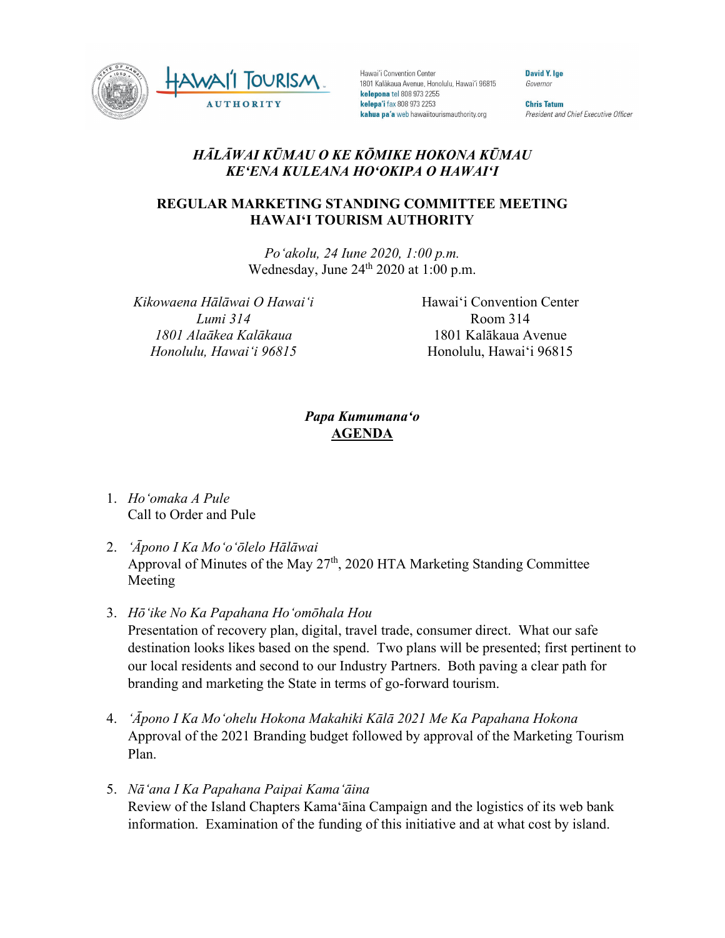

Hawai'i Convention Center 1801 Kalākaua Avenue, Honolulu, Hawai'i 96815 kelepona tel 808 973 2255 kelepa'i fax 808 973 2253 kahua pa'a web hawaiitourismauthority.org

**David Y. Ige** Governor

**Chris Tatum** President and Chief Executive Officer

## *HĀLĀWAI KŪMAU O KE KŌMIKE HOKONA KŪMAU KEʻENA KULEANA HOʻOKIPA O HAWAIʻI*

## **REGULAR MARKETING STANDING COMMITTEE MEETING HAWAI'I TOURISM AUTHORITY**

*Poʻakolu, 24 Iune 2020, 1:00 p.m.* Wednesday, June  $24<sup>th</sup> 2020$  at 1:00 p.m.

*Kikowaena Hālāwai O Hawaiʻi Lumi 314 1801 Alaākea Kalākaua Honolulu, Hawaiʻi 96815*

Hawai'i Convention Center Room 314 1801 Kalākaua Avenue Honolulu, Hawai'i 96815

## *Papa Kumumanaʻo* **AGENDA**

- 1. *Hoʻomaka A Pule* Call to Order and Pule
- 2. *ʻĀpono I Ka Moʻoʻōlelo Hālāwai* Approval of Minutes of the May  $27<sup>th</sup>$ , 2020 HTA Marketing Standing Committee Meeting
- 3. *Hōʻike No Ka Papahana Hoʻomōhala Hou*

Presentation of recovery plan, digital, travel trade, consumer direct. What our safe destination looks likes based on the spend. Two plans will be presented; first pertinent to our local residents and second to our Industry Partners. Both paving a clear path for branding and marketing the State in terms of go-forward tourism.

- 4. *ʻĀpono I Ka Moʻohelu Hokona Makahiki Kālā 2021 Me Ka Papahana Hokona* Approval of the 2021 Branding budget followed by approval of the Marketing Tourism Plan.
- 5. *Nāʻana I Ka Papahana Paipai Kamaʻāina* Review of the Island Chapters Kama'āina Campaign and the logistics of its web bank information. Examination of the funding of this initiative and at what cost by island.